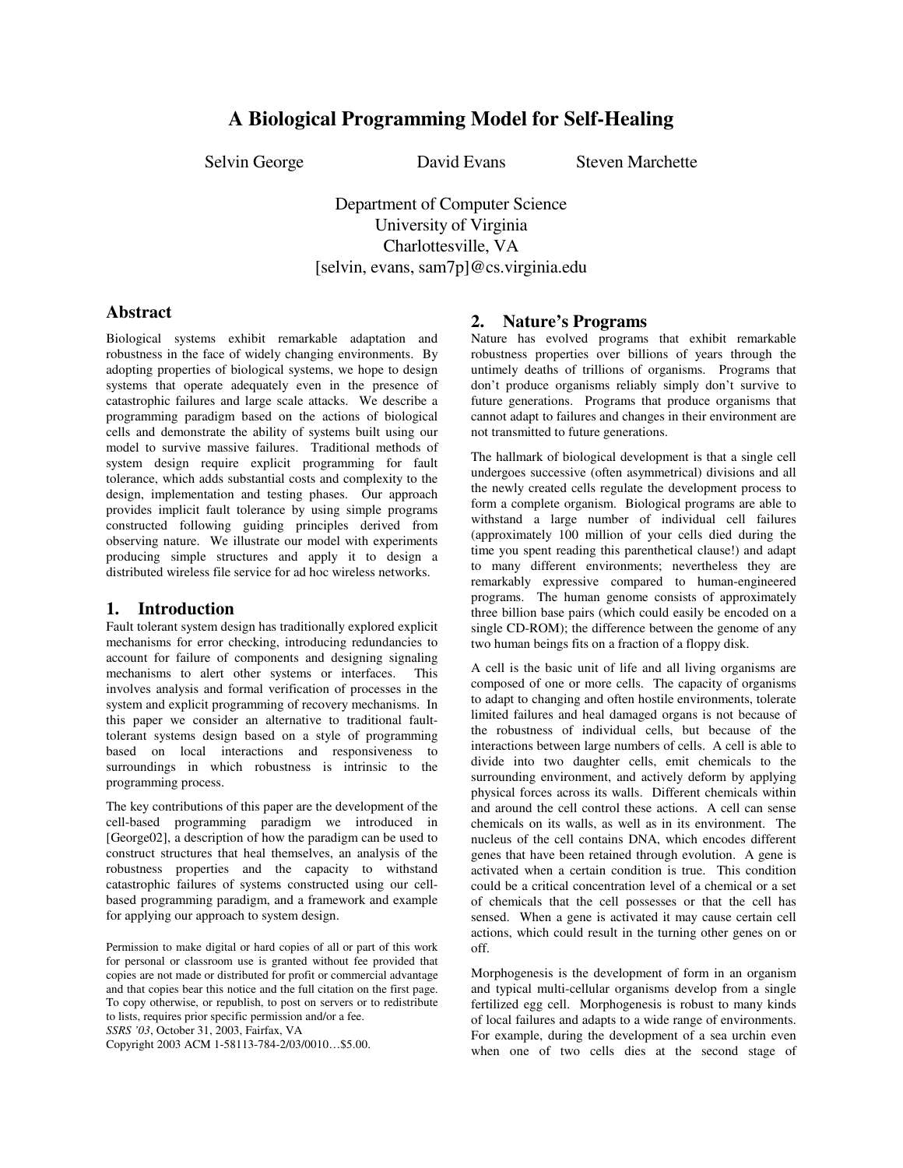# **A Biological Programming Model for Self-Healing**

Selvin George David Evans Steven Marchette

Department of Computer Science University of Virginia Charlottesville, VA [selvin, evans, sam7p]@cs.virginia.edu

### **Abstract**

Biological systems exhibit remarkable adaptation and robustness in the face of widely changing environments. By adopting properties of biological systems, we hope to design systems that operate adequately even in the presence of catastrophic failures and large scale attacks. We describe a programming paradigm based on the actions of biological cells and demonstrate the ability of systems built using our model to survive massive failures. Traditional methods of system design require explicit programming for fault tolerance, which adds substantial costs and complexity to the design, implementation and testing phases. Our approach provides implicit fault tolerance by using simple programs constructed following guiding principles derived from observing nature. We illustrate our model with experiments producing simple structures and apply it to design a distributed wireless file service for ad hoc wireless networks.

# **1. Introduction**

Fault tolerant system design has traditionally explored explicit mechanisms for error checking, introducing redundancies to account for failure of components and designing signaling mechanisms to alert other systems or interfaces. This involves analysis and formal verification of processes in the system and explicit programming of recovery mechanisms. In this paper we consider an alternative to traditional faulttolerant systems design based on a style of programming based on local interactions and responsiveness to surroundings in which robustness is intrinsic to the programming process.

The key contributions of this paper are the development of the cell-based programming paradigm we introduced in [George02], a description of how the paradigm can be used to construct structures that heal themselves, an analysis of the robustness properties and the capacity to withstand catastrophic failures of systems constructed using our cellbased programming paradigm, and a framework and example for applying our approach to system design.

Permission to make digital or hard copies of all or part of this work for personal or classroom use is granted without fee provided that copies are not made or distributed for profit or commercial advantage and that copies bear this notice and the full citation on the first page. To copy otherwise, or republish, to post on servers or to redistribute to lists, requires prior specific permission and/or a fee.

*SSRS '03*, October 31, 2003, Fairfax, VA

Copyright 2003 ACM 1-58113-784-2/03/0010…\$5.00.

### **2. Nature's Programs**

Nature has evolved programs that exhibit remarkable robustness properties over billions of years through the untimely deaths of trillions of organisms. Programs that don't produce organisms reliably simply don't survive to future generations. Programs that produce organisms that cannot adapt to failures and changes in their environment are not transmitted to future generations.

The hallmark of biological development is that a single cell undergoes successive (often asymmetrical) divisions and all the newly created cells regulate the development process to form a complete organism. Biological programs are able to withstand a large number of individual cell failures (approximately 100 million of your cells died during the time you spent reading this parenthetical clause!) and adapt to many different environments; nevertheless they are remarkably expressive compared to human-engineered programs. The human genome consists of approximately three billion base pairs (which could easily be encoded on a single CD-ROM); the difference between the genome of any two human beings fits on a fraction of a floppy disk.

A cell is the basic unit of life and all living organisms are composed of one or more cells. The capacity of organisms to adapt to changing and often hostile environments, tolerate limited failures and heal damaged organs is not because of the robustness of individual cells, but because of the interactions between large numbers of cells. A cell is able to divide into two daughter cells, emit chemicals to the surrounding environment, and actively deform by applying physical forces across its walls. Different chemicals within and around the cell control these actions. A cell can sense chemicals on its walls, as well as in its environment. The nucleus of the cell contains DNA, which encodes different genes that have been retained through evolution. A gene is activated when a certain condition is true. This condition could be a critical concentration level of a chemical or a set of chemicals that the cell possesses or that the cell has sensed. When a gene is activated it may cause certain cell actions, which could result in the turning other genes on or off.

Morphogenesis is the development of form in an organism and typical multi-cellular organisms develop from a single fertilized egg cell. Morphogenesis is robust to many kinds of local failures and adapts to a wide range of environments. For example, during the development of a sea urchin even when one of two cells dies at the second stage of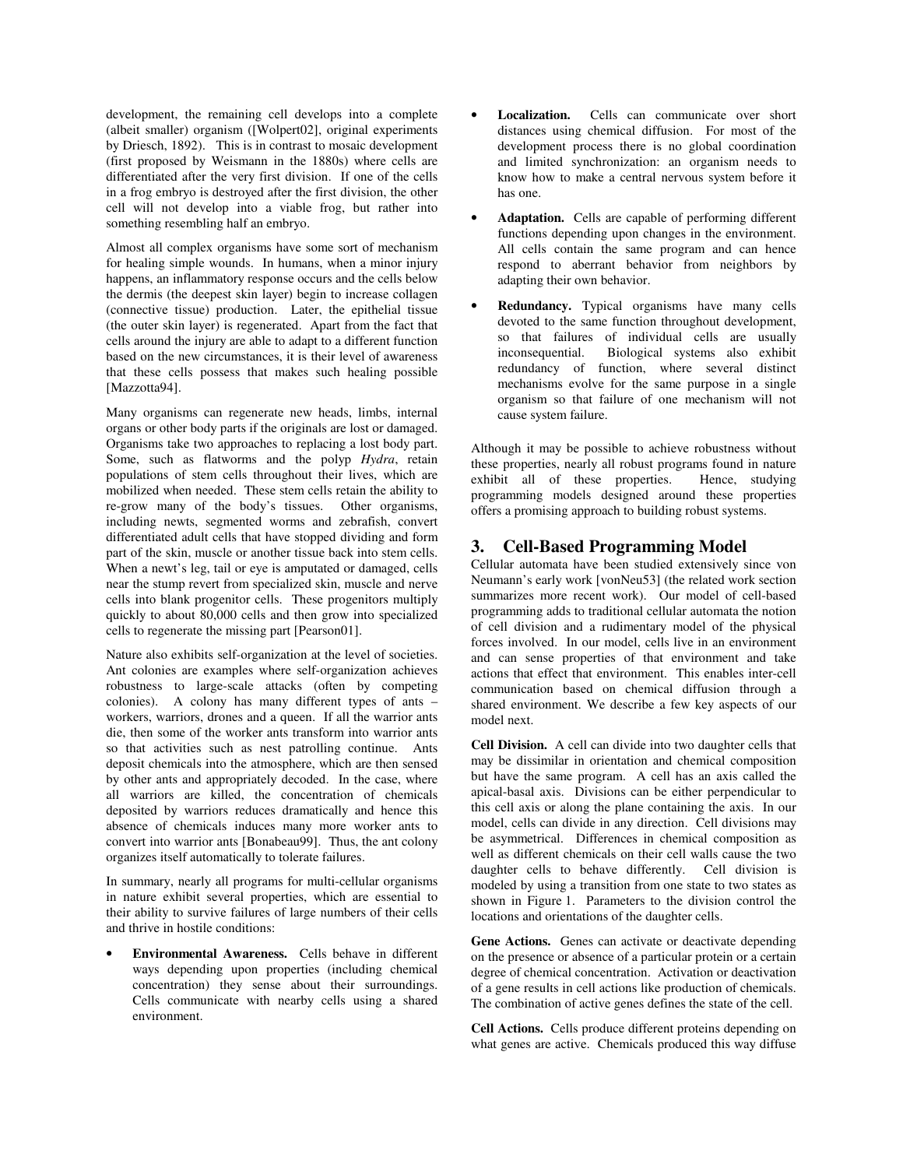development, the remaining cell develops into a complete (albeit smaller) organism ([Wolpert02], original experiments by Driesch, 1892). This is in contrast to mosaic development (first proposed by Weismann in the 1880s) where cells are differentiated after the very first division. If one of the cells in a frog embryo is destroyed after the first division, the other cell will not develop into a viable frog, but rather into something resembling half an embryo.

Almost all complex organisms have some sort of mechanism for healing simple wounds. In humans, when a minor injury happens, an inflammatory response occurs and the cells below the dermis (the deepest skin layer) begin to increase collagen (connective tissue) production. Later, the epithelial tissue (the outer skin layer) is regenerated. Apart from the fact that cells around the injury are able to adapt to a different function based on the new circumstances, it is their level of awareness that these cells possess that makes such healing possible [Mazzotta94].

Many organisms can regenerate new heads, limbs, internal organs or other body parts if the originals are lost or damaged. Organisms take two approaches to replacing a lost body part. Some, such as flatworms and the polyp *Hydra*, retain populations of stem cells throughout their lives, which are mobilized when needed. These stem cells retain the ability to re-grow many of the body's tissues. Other organisms, including newts, segmented worms and zebrafish, convert differentiated adult cells that have stopped dividing and form part of the skin, muscle or another tissue back into stem cells. When a newt's leg, tail or eye is amputated or damaged, cells near the stump revert from specialized skin, muscle and nerve cells into blank progenitor cells. These progenitors multiply quickly to about 80,000 cells and then grow into specialized cells to regenerate the missing part [Pearson01].

Nature also exhibits self-organization at the level of societies. Ant colonies are examples where self-organization achieves robustness to large-scale attacks (often by competing colonies). A colony has many different types of ants – workers, warriors, drones and a queen. If all the warrior ants die, then some of the worker ants transform into warrior ants so that activities such as nest patrolling continue. Ants deposit chemicals into the atmosphere, which are then sensed by other ants and appropriately decoded. In the case, where all warriors are killed, the concentration of chemicals deposited by warriors reduces dramatically and hence this absence of chemicals induces many more worker ants to convert into warrior ants [Bonabeau99]. Thus, the ant colony organizes itself automatically to tolerate failures.

In summary, nearly all programs for multi-cellular organisms in nature exhibit several properties, which are essential to their ability to survive failures of large numbers of their cells and thrive in hostile conditions:

• **Environmental Awareness.** Cells behave in different ways depending upon properties (including chemical concentration) they sense about their surroundings. Cells communicate with nearby cells using a shared environment.

- Localization. Cells can communicate over short distances using chemical diffusion. For most of the development process there is no global coordination and limited synchronization: an organism needs to know how to make a central nervous system before it has one.
- Adaptation. Cells are capable of performing different functions depending upon changes in the environment. All cells contain the same program and can hence respond to aberrant behavior from neighbors by adapting their own behavior.
- **Redundancy.** Typical organisms have many cells devoted to the same function throughout development, so that failures of individual cells are usually inconsequential. Biological systems also exhibit Biological systems also exhibit redundancy of function, where several distinct mechanisms evolve for the same purpose in a single organism so that failure of one mechanism will not cause system failure.

Although it may be possible to achieve robustness without these properties, nearly all robust programs found in nature exhibit all of these properties. Hence, studying programming models designed around these properties offers a promising approach to building robust systems.

# **3. Cell-Based Programming Model**

Cellular automata have been studied extensively since von Neumann's early work [vonNeu53] (the related work section summarizes more recent work). Our model of cell-based programming adds to traditional cellular automata the notion of cell division and a rudimentary model of the physical forces involved. In our model, cells live in an environment and can sense properties of that environment and take actions that effect that environment. This enables inter-cell communication based on chemical diffusion through a shared environment. We describe a few key aspects of our model next.

**Cell Division.** A cell can divide into two daughter cells that may be dissimilar in orientation and chemical composition but have the same program. A cell has an axis called the apical-basal axis. Divisions can be either perpendicular to this cell axis or along the plane containing the axis. In our model, cells can divide in any direction. Cell divisions may be asymmetrical. Differences in chemical composition as well as different chemicals on their cell walls cause the two daughter cells to behave differently. Cell division is modeled by using a transition from one state to two states as shown in Figure 1. Parameters to the division control the locations and orientations of the daughter cells.

Gene Actions. Genes can activate or deactivate depending on the presence or absence of a particular protein or a certain degree of chemical concentration. Activation or deactivation of a gene results in cell actions like production of chemicals. The combination of active genes defines the state of the cell.

**Cell Actions.** Cells produce different proteins depending on what genes are active. Chemicals produced this way diffuse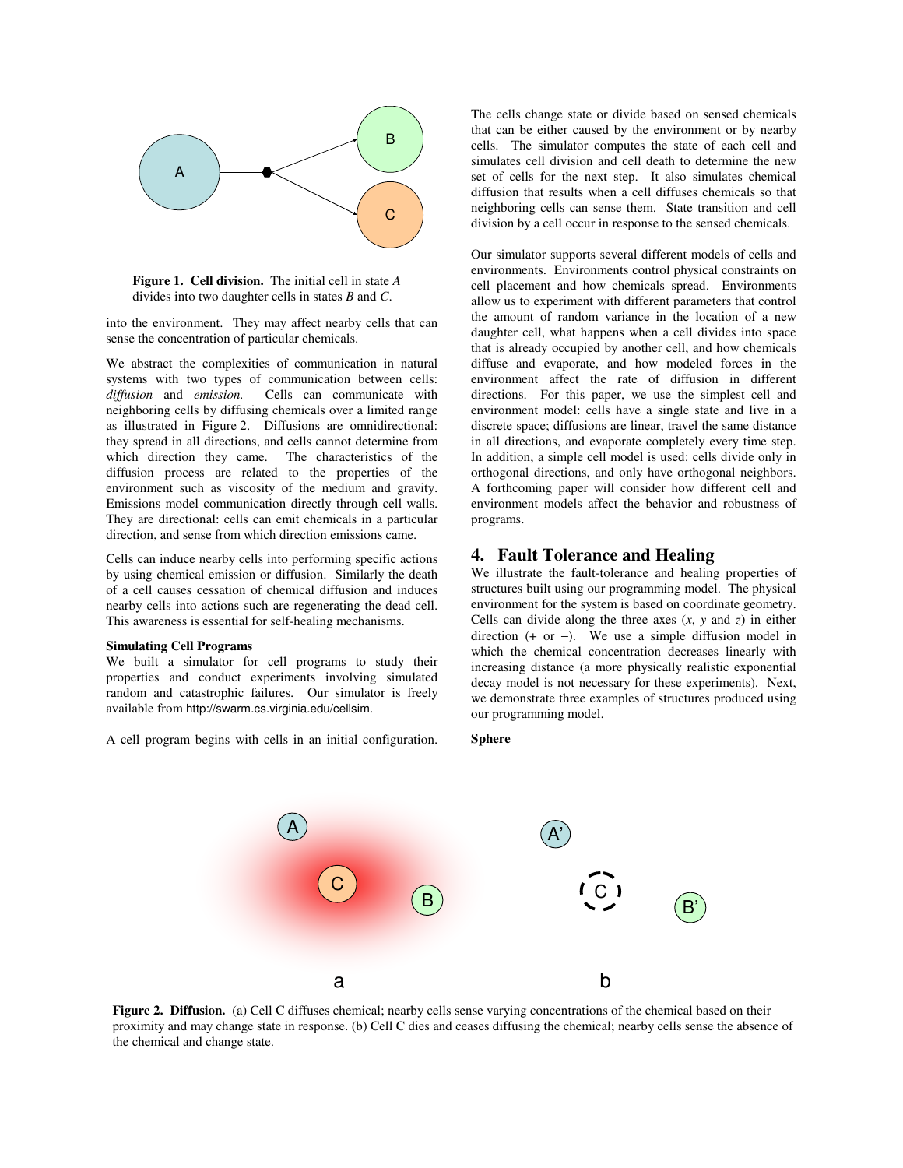

**Figure 1. Cell division.** The initial cell in state *A* divides into two daughter cells in states *B* and *C*.

into the environment. They may affect nearby cells that can sense the concentration of particular chemicals.

We abstract the complexities of communication in natural systems with two types of communication between cells: *diffusion* and *emission.* Cells can communicate with neighboring cells by diffusing chemicals over a limited range as illustrated in Figure 2. Diffusions are omnidirectional: they spread in all directions, and cells cannot determine from which direction they came. The characteristics of the diffusion process are related to the properties of the environment such as viscosity of the medium and gravity. Emissions model communication directly through cell walls. They are directional: cells can emit chemicals in a particular direction, and sense from which direction emissions came.

Cells can induce nearby cells into performing specific actions by using chemical emission or diffusion. Similarly the death of a cell causes cessation of chemical diffusion and induces nearby cells into actions such are regenerating the dead cell. This awareness is essential for self-healing mechanisms.

#### **Simulating Cell Programs**

We built a simulator for cell programs to study their properties and conduct experiments involving simulated random and catastrophic failures. Our simulator is freely available from http://swarm.cs.virginia.edu/cellsim.

A cell program begins with cells in an initial configuration.

The cells change state or divide based on sensed chemicals that can be either caused by the environment or by nearby cells. The simulator computes the state of each cell and simulates cell division and cell death to determine the new set of cells for the next step. It also simulates chemical diffusion that results when a cell diffuses chemicals so that neighboring cells can sense them. State transition and cell division by a cell occur in response to the sensed chemicals.

Our simulator supports several different models of cells and environments. Environments control physical constraints on cell placement and how chemicals spread. Environments allow us to experiment with different parameters that control the amount of random variance in the location of a new daughter cell, what happens when a cell divides into space that is already occupied by another cell, and how chemicals diffuse and evaporate, and how modeled forces in the environment affect the rate of diffusion in different directions. For this paper, we use the simplest cell and environment model: cells have a single state and live in a discrete space; diffusions are linear, travel the same distance in all directions, and evaporate completely every time step. In addition, a simple cell model is used: cells divide only in orthogonal directions, and only have orthogonal neighbors. A forthcoming paper will consider how different cell and environment models affect the behavior and robustness of programs.

#### **4. Fault Tolerance and Healing**

We illustrate the fault-tolerance and healing properties of structures built using our programming model. The physical environment for the system is based on coordinate geometry. Cells can divide along the three axes  $(x, y, z)$  in either direction (+ or −). We use a simple diffusion model in which the chemical concentration decreases linearly with increasing distance (a more physically realistic exponential decay model is not necessary for these experiments). Next, we demonstrate three examples of structures produced using our programming model.

### **Sphere**



**Figure 2. Diffusion.** (a) Cell C diffuses chemical; nearby cells sense varying concentrations of the chemical based on their proximity and may change state in response. (b) Cell C dies and ceases diffusing the chemical; nearby cells sense the absence of the chemical and change state.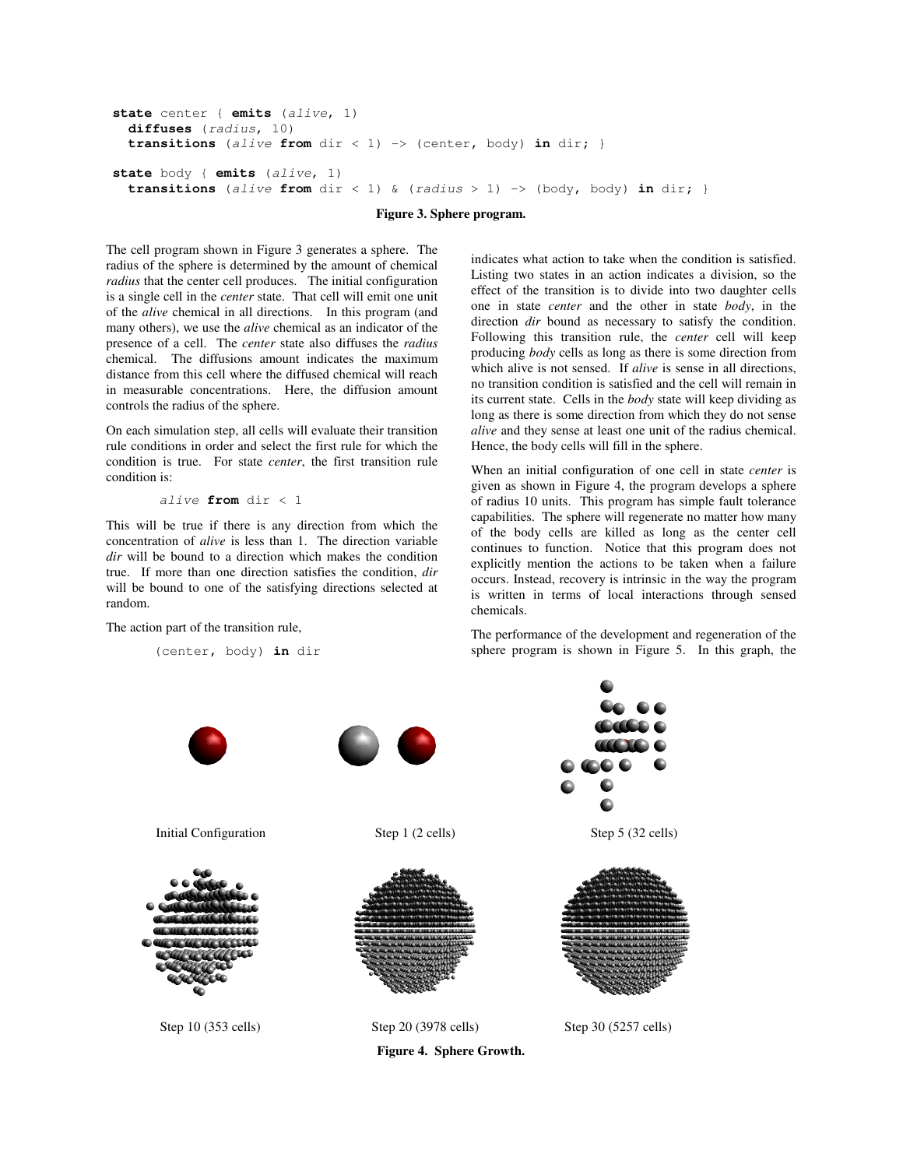```
state center { emits (alive, 1) 
   diffuses (radius, 10) 
  transitions (alive from dir < 1) -> (center, body) in dir; } 
state body { emits (alive, 1) 
  transitions (alive from dir < 1) & (radius > 1) -> (body, body) in dir; }
```
#### **Figure 3. Sphere program.**

The cell program shown in Figure 3 generates a sphere. The radius of the sphere is determined by the amount of chemical *radius* that the center cell produces. The initial configuration is a single cell in the *center* state. That cell will emit one unit of the *alive* chemical in all directions. In this program (and many others), we use the *alive* chemical as an indicator of the presence of a cell. The *center* state also diffuses the *radius*  chemical. The diffusions amount indicates the maximum distance from this cell where the diffused chemical will reach in measurable concentrations. Here, the diffusion amount controls the radius of the sphere.

On each simulation step, all cells will evaluate their transition rule conditions in order and select the first rule for which the condition is true. For state *center*, the first transition rule condition is:

alive **from** dir < 1

This will be true if there is any direction from which the concentration of *alive* is less than 1. The direction variable *dir* will be bound to a direction which makes the condition true. If more than one direction satisfies the condition, *dir* will be bound to one of the satisfying directions selected at random.

The action part of the transition rule,

```
 (center, body) in dir
```
indicates what action to take when the condition is satisfied. Listing two states in an action indicates a division, so the effect of the transition is to divide into two daughter cells one in state *center* and the other in state *body*, in the direction *dir* bound as necessary to satisfy the condition. Following this transition rule, the *center* cell will keep producing *body* cells as long as there is some direction from which alive is not sensed. If *alive* is sense in all directions, no transition condition is satisfied and the cell will remain in its current state. Cells in the *body* state will keep dividing as long as there is some direction from which they do not sense *alive* and they sense at least one unit of the radius chemical. Hence, the body cells will fill in the sphere.

When an initial configuration of one cell in state *center* is given as shown in Figure 4, the program develops a sphere of radius 10 units. This program has simple fault tolerance capabilities. The sphere will regenerate no matter how many of the body cells are killed as long as the center cell continues to function. Notice that this program does not explicitly mention the actions to be taken when a failure occurs. Instead, recovery is intrinsic in the way the program is written in terms of local interactions through sensed chemicals.

The performance of the development and regeneration of the sphere program is shown in Figure 5. In this graph, the

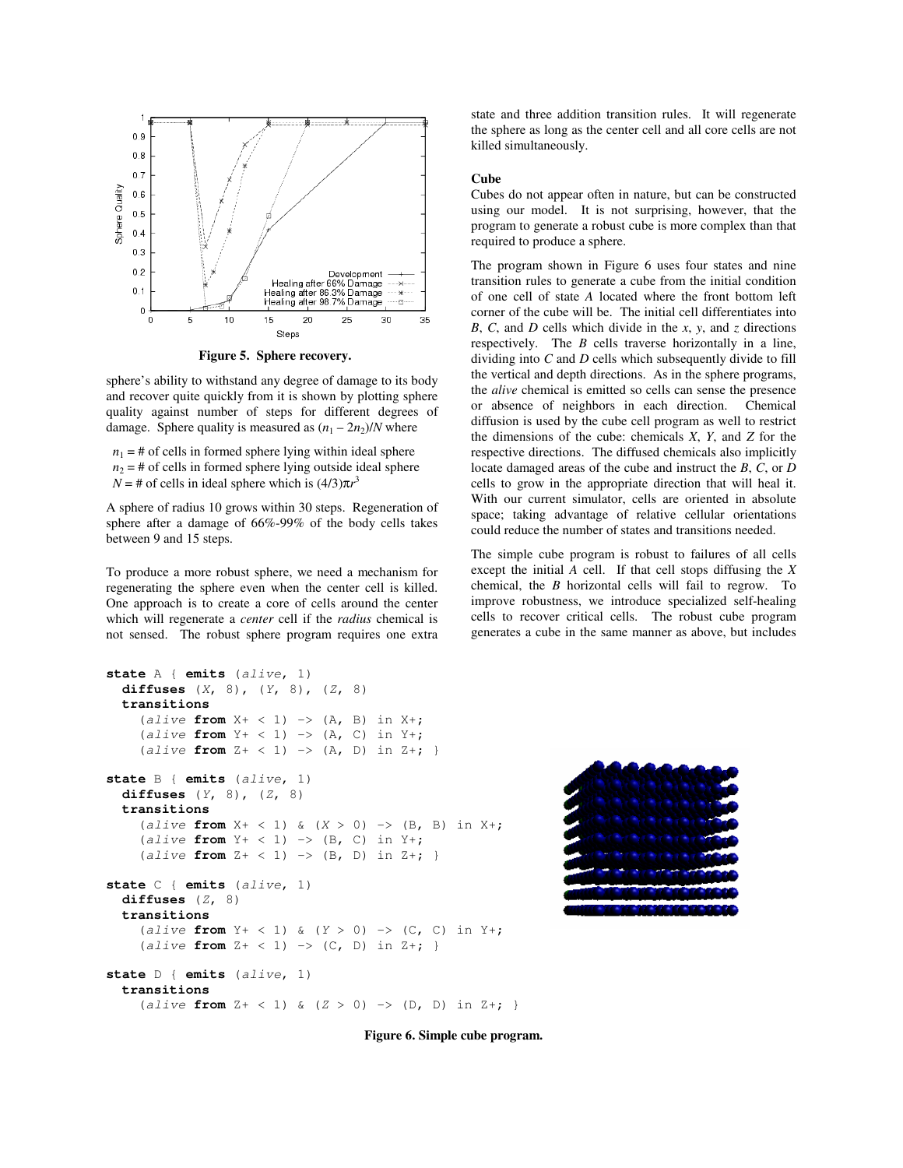

**Figure 5. Sphere recovery.** 

sphere's ability to withstand any degree of damage to its body and recover quite quickly from it is shown by plotting sphere quality against number of steps for different degrees of damage. Sphere quality is measured as  $(n_1 - 2n_2)/N$  where

 $n_1 = #$  of cells in formed sphere lying within ideal sphere  $n_2$  = # of cells in formed sphere lying outside ideal sphere  $N = #$  of cells in ideal sphere which is  $(4/3)\pi r^3$ 

A sphere of radius 10 grows within 30 steps. Regeneration of sphere after a damage of 66%-99% of the body cells takes between 9 and 15 steps.

To produce a more robust sphere, we need a mechanism for regenerating the sphere even when the center cell is killed. One approach is to create a core of cells around the center which will regenerate a *center* cell if the *radius* chemical is not sensed. The robust sphere program requires one extra

```
state A { emits (alive, 1) 
  diffuses (X, 8), (Y, 8), (Z, 8) 
  transitions 
     (alive from X+ < 1) \rightarrow (A, B) in X+;(alive from Y + < 1) \rightarrow (A, C) in Y +;
     (alive from Z + \langle 1 \rangle \rightarrow (A, D) in Z + j }
state B { emits (alive, 1) 
  diffuses (Y, 8), (Z, 8) 
  transitions 
     (alive from X + < 1) & (X > 0) \rightarrow (B, B) in X +;
     (alive from Y+ < 1) \rightarrow (B, C) in Y+;(alive from Z+ < 1) \rightarrow (B, D) in Z+;state C { emits (alive, 1) 
  diffuses (Z, 8) 
  transitions 
     (alive from Y + < 1) & (Y > 0) \rightarrow (C, C) in Y +;
     (alive from Z + \langle 1 \rangle \rightarrow (C, D) in Z + j }
state D { emits (alive, 1) 
  transitions 
     (alive from Z^+ < 1) & (Z > 0) \Rightarrow (D, D) in Z^+; }
```
state and three addition transition rules. It will regenerate the sphere as long as the center cell and all core cells are not killed simultaneously.

#### **Cube**

Cubes do not appear often in nature, but can be constructed using our model. It is not surprising, however, that the program to generate a robust cube is more complex than that required to produce a sphere.

The program shown in Figure 6 uses four states and nine transition rules to generate a cube from the initial condition of one cell of state *A* located where the front bottom left corner of the cube will be. The initial cell differentiates into *B*, *C*, and *D* cells which divide in the *x*, *y*, and *z* directions respectively. The *B* cells traverse horizontally in a line, dividing into *C* and *D* cells which subsequently divide to fill the vertical and depth directions. As in the sphere programs, the *alive* chemical is emitted so cells can sense the presence or absence of neighbors in each direction. Chemical diffusion is used by the cube cell program as well to restrict the dimensions of the cube: chemicals *X*, *Y*, and *Z* for the respective directions. The diffused chemicals also implicitly locate damaged areas of the cube and instruct the *B*, *C*, or *D* cells to grow in the appropriate direction that will heal it. With our current simulator, cells are oriented in absolute space; taking advantage of relative cellular orientations could reduce the number of states and transitions needed.

The simple cube program is robust to failures of all cells except the initial *A* cell. If that cell stops diffusing the *X* chemical, the *B* horizontal cells will fail to regrow. To improve robustness, we introduce specialized self-healing cells to recover critical cells. The robust cube program generates a cube in the same manner as above, but includes



**Figure 6. Simple cube program.**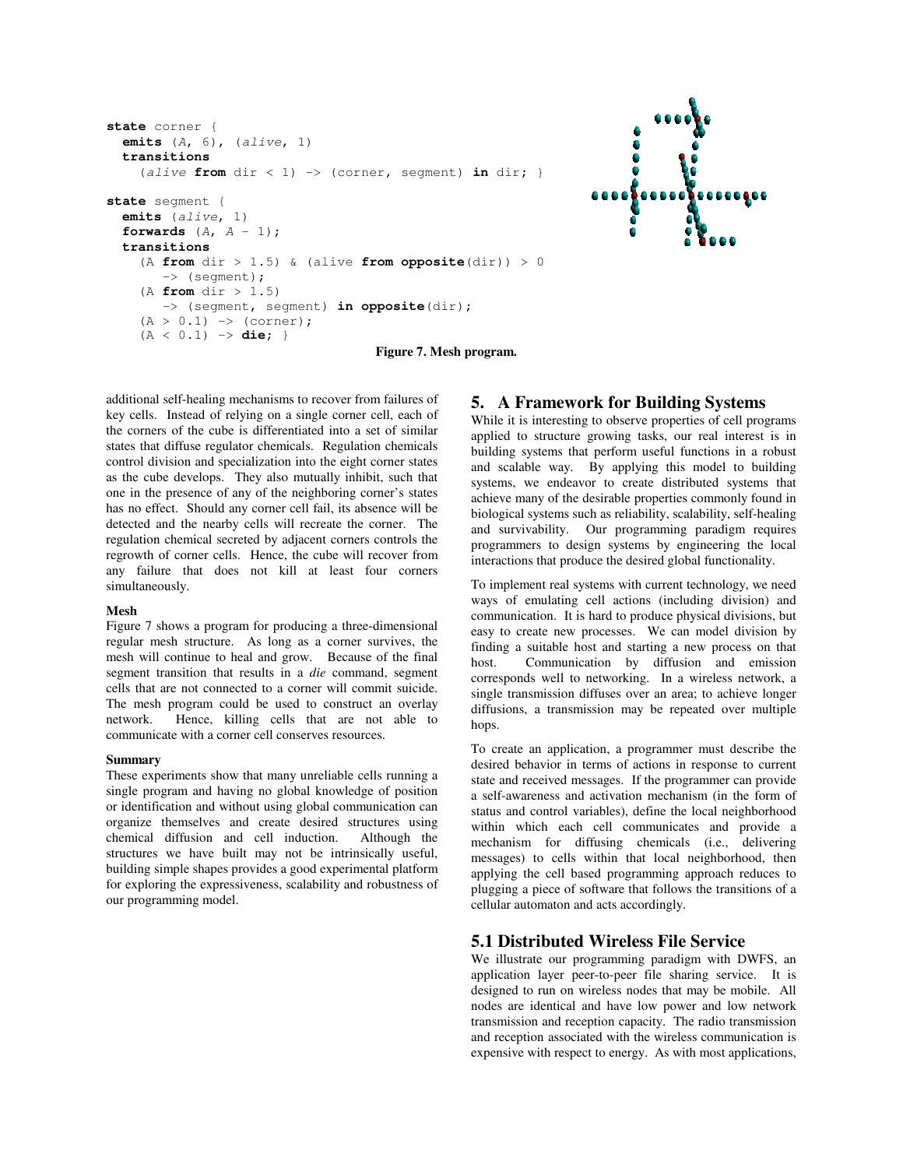```
state corner { 
  emits (A, 6), (alive, 1) 
  transitions 
    (alive from dir < 1) \rightarrow (corner, segment) in dir; }
state segment { 
  emits (alive, 1) 
  forwards (A, A - 1);
  transitions 
    (A from dir > 1.5) & (alive from opposite(dir)) > 0 -> (segment); 
     (A from dir > 1.5) 
        -> (segment, segment) in opposite(dir); 
    (A > 0.1) -> (corner);
     (A < 0.1) -> die; }
```


#### **Figure 7. Mesh program.**

additional self-healing mechanisms to recover from failures of key cells. Instead of relying on a single corner cell, each of the corners of the cube is differentiated into a set of similar states that diffuse regulator chemicals. Regulation chemicals control division and specialization into the eight corner states as the cube develops. They also mutually inhibit, such that one in the presence of any of the neighboring corner's states has no effect. Should any corner cell fail, its absence will be detected and the nearby cells will recreate the corner. The regulation chemical secreted by adjacent corners controls the regrowth of corner cells. Hence, the cube will recover from any failure that does not kill at least four corners simultaneously.

#### **Mesh**

Figure 7 shows a program for producing a three-dimensional regular mesh structure. As long as a corner survives, the mesh will continue to heal and grow. Because of the final segment transition that results in a *die* command, segment cells that are not connected to a corner will commit suicide. The mesh program could be used to construct an overlay network. Hence, killing cells that are not able to communicate with a corner cell conserves resources.

#### **Summary**

These experiments show that many unreliable cells running a single program and having no global knowledge of position or identification and without using global communication can organize themselves and create desired structures using chemical diffusion and cell induction. Although the structures we have built may not be intrinsically useful, building simple shapes provides a good experimental platform for exploring the expressiveness, scalability and robustness of our programming model.

## **5. A Framework for Building Systems**

While it is interesting to observe properties of cell programs applied to structure growing tasks, our real interest is in building systems that perform useful functions in a robust and scalable way. By applying this model to building systems, we endeavor to create distributed systems that achieve many of the desirable properties commonly found in biological systems such as reliability, scalability, self-healing and survivability. Our programming paradigm requires programmers to design systems by engineering the local interactions that produce the desired global functionality.

To implement real systems with current technology, we need ways of emulating cell actions (including division) and communication. It is hard to produce physical divisions, but easy to create new processes. We can model division by finding a suitable host and starting a new process on that host. Communication by diffusion and emission corresponds well to networking. In a wireless network, a single transmission diffuses over an area; to achieve longer diffusions, a transmission may be repeated over multiple hops.

To create an application, a programmer must describe the desired behavior in terms of actions in response to current state and received messages. If the programmer can provide a self-awareness and activation mechanism (in the form of status and control variables), define the local neighborhood within which each cell communicates and provide a mechanism for diffusing chemicals (i.e., delivering messages) to cells within that local neighborhood, then applying the cell based programming approach reduces to plugging a piece of software that follows the transitions of a cellular automaton and acts accordingly.

# **5.1 Distributed Wireless File Service**

We illustrate our programming paradigm with DWFS, an application layer peer-to-peer file sharing service. It is designed to run on wireless nodes that may be mobile. All nodes are identical and have low power and low network transmission and reception capacity. The radio transmission and reception associated with the wireless communication is expensive with respect to energy. As with most applications,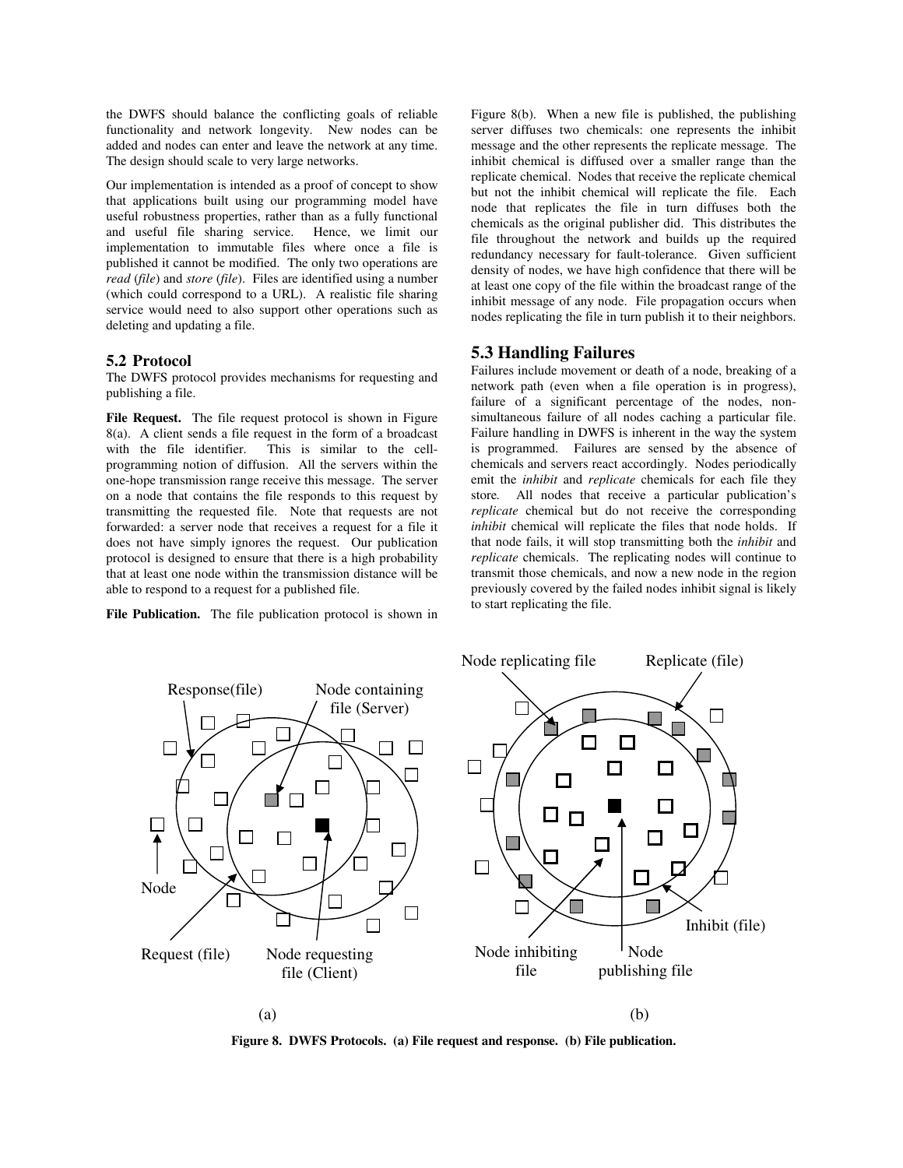the DWFS should balance the conflicting goals of reliable functionality and network longevity. New nodes can be added and nodes can enter and leave the network at any time. The design should scale to very large networks.

Our implementation is intended as a proof of concept to show that applications built using our programming model have useful robustness properties, rather than as a fully functional and useful file sharing service. Hence, we limit our implementation to immutable files where once a file is published it cannot be modified. The only two operations are *read* (*file*) and *store* (*file*). Files are identified using a number (which could correspond to a URL). A realistic file sharing service would need to also support other operations such as deleting and updating a file.

### **5.2 Protocol**

The DWFS protocol provides mechanisms for requesting and publishing a file.

**File Request.** The file request protocol is shown in Figure 8(a). A client sends a file request in the form of a broadcast with the file identifier. This is similar to the cellprogramming notion of diffusion. All the servers within the one-hope transmission range receive this message. The server on a node that contains the file responds to this request by transmitting the requested file. Note that requests are not forwarded: a server node that receives a request for a file it does not have simply ignores the request. Our publication protocol is designed to ensure that there is a high probability that at least one node within the transmission distance will be able to respond to a request for a published file.

**File Publication.** The file publication protocol is shown in

Figure 8(b). When a new file is published, the publishing server diffuses two chemicals: one represents the inhibit message and the other represents the replicate message. The inhibit chemical is diffused over a smaller range than the replicate chemical. Nodes that receive the replicate chemical but not the inhibit chemical will replicate the file. Each node that replicates the file in turn diffuses both the chemicals as the original publisher did. This distributes the file throughout the network and builds up the required redundancy necessary for fault-tolerance. Given sufficient density of nodes, we have high confidence that there will be at least one copy of the file within the broadcast range of the inhibit message of any node. File propagation occurs when nodes replicating the file in turn publish it to their neighbors.

### **5.3 Handling Failures**

Failures include movement or death of a node, breaking of a network path (even when a file operation is in progress), failure of a significant percentage of the nodes, nonsimultaneous failure of all nodes caching a particular file. Failure handling in DWFS is inherent in the way the system is programmed. Failures are sensed by the absence of chemicals and servers react accordingly. Nodes periodically emit the *inhibit* and *replicate* chemicals for each file they store*.* All nodes that receive a particular publication's *replicate* chemical but do not receive the corresponding *inhibit* chemical will replicate the files that node holds. If that node fails, it will stop transmitting both the *inhibit* and *replicate* chemicals. The replicating nodes will continue to transmit those chemicals, and now a new node in the region previously covered by the failed nodes inhibit signal is likely to start replicating the file.



**Figure 8. DWFS Protocols. (a) File request and response. (b) File publication.**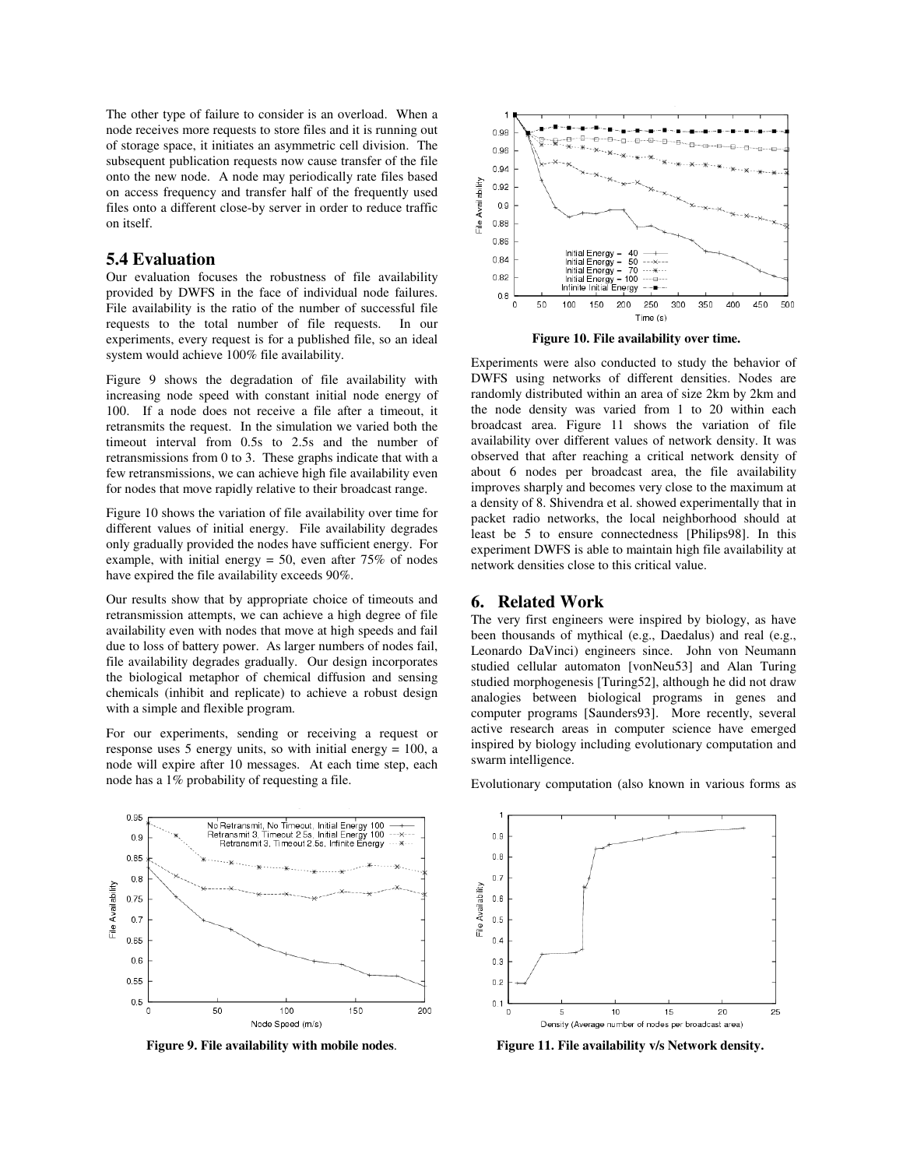The other type of failure to consider is an overload. When a node receives more requests to store files and it is running out of storage space, it initiates an asymmetric cell division. The subsequent publication requests now cause transfer of the file onto the new node. A node may periodically rate files based on access frequency and transfer half of the frequently used files onto a different close-by server in order to reduce traffic on itself.

### **5.4 Evaluation**

Our evaluation focuses the robustness of file availability provided by DWFS in the face of individual node failures. File availability is the ratio of the number of successful file requests to the total number of file requests. In our experiments, every request is for a published file, so an ideal system would achieve 100% file availability.

Figure 9 shows the degradation of file availability with increasing node speed with constant initial node energy of 100. If a node does not receive a file after a timeout, it retransmits the request. In the simulation we varied both the timeout interval from 0.5s to 2.5s and the number of retransmissions from 0 to 3. These graphs indicate that with a few retransmissions, we can achieve high file availability even for nodes that move rapidly relative to their broadcast range.

Figure 10 shows the variation of file availability over time for different values of initial energy. File availability degrades only gradually provided the nodes have sufficient energy. For example, with initial energy =  $50$ , even after  $75\%$  of nodes have expired the file availability exceeds 90%.

Our results show that by appropriate choice of timeouts and retransmission attempts, we can achieve a high degree of file availability even with nodes that move at high speeds and fail due to loss of battery power. As larger numbers of nodes fail, file availability degrades gradually. Our design incorporates the biological metaphor of chemical diffusion and sensing chemicals (inhibit and replicate) to achieve a robust design with a simple and flexible program.

For our experiments, sending or receiving a request or response uses 5 energy units, so with initial energy = 100, a node will expire after 10 messages. At each time step, each node has a 1% probability of requesting a file.





**Figure 10. File availability over time.** 

Experiments were also conducted to study the behavior of DWFS using networks of different densities. Nodes are randomly distributed within an area of size 2km by 2km and the node density was varied from 1 to 20 within each broadcast area. Figure 11 shows the variation of file availability over different values of network density. It was observed that after reaching a critical network density of about 6 nodes per broadcast area, the file availability improves sharply and becomes very close to the maximum at a density of 8. Shivendra et al. showed experimentally that in packet radio networks, the local neighborhood should at least be 5 to ensure connectedness [Philips98]. In this experiment DWFS is able to maintain high file availability at network densities close to this critical value.

### **6. Related Work**

The very first engineers were inspired by biology, as have been thousands of mythical (e.g., Daedalus) and real (e.g., Leonardo DaVinci) engineers since. John von Neumann studied cellular automaton [vonNeu53] and Alan Turing studied morphogenesis [Turing52], although he did not draw analogies between biological programs in genes and computer programs [Saunders93]. More recently, several active research areas in computer science have emerged inspired by biology including evolutionary computation and swarm intelligence.

Evolutionary computation (also known in various forms as



**Figure 9. File availability with mobile nodes**. **Figure 11. File availability v/s Network density.**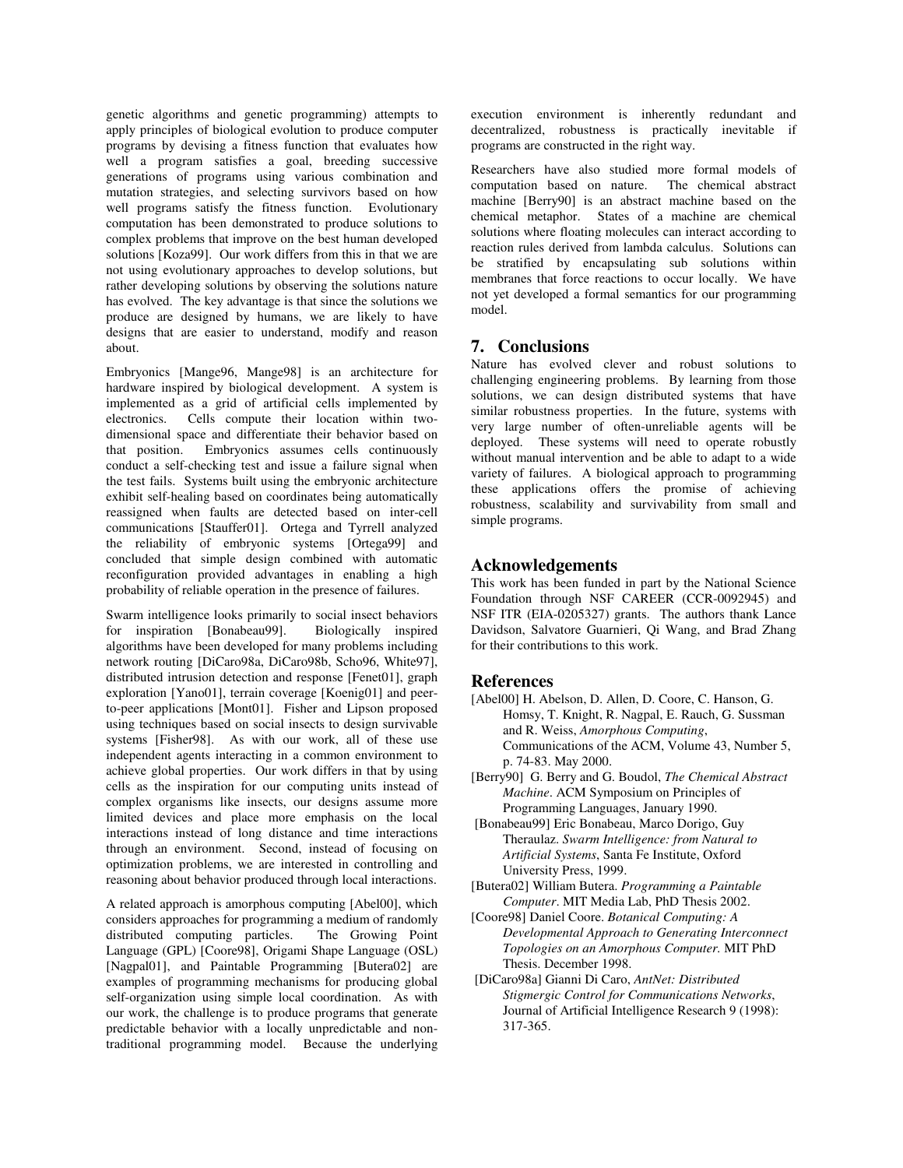genetic algorithms and genetic programming) attempts to apply principles of biological evolution to produce computer programs by devising a fitness function that evaluates how well a program satisfies a goal, breeding successive generations of programs using various combination and mutation strategies, and selecting survivors based on how well programs satisfy the fitness function. Evolutionary computation has been demonstrated to produce solutions to complex problems that improve on the best human developed solutions [Koza99]. Our work differs from this in that we are not using evolutionary approaches to develop solutions, but rather developing solutions by observing the solutions nature has evolved. The key advantage is that since the solutions we produce are designed by humans, we are likely to have designs that are easier to understand, modify and reason about.

Embryonics [Mange96, Mange98] is an architecture for hardware inspired by biological development. A system is implemented as a grid of artificial cells implemented by electronics. Cells compute their location within twodimensional space and differentiate their behavior based on that position. Embryonics assumes cells continuously conduct a self-checking test and issue a failure signal when the test fails. Systems built using the embryonic architecture exhibit self-healing based on coordinates being automatically reassigned when faults are detected based on inter-cell communications [Stauffer01]. Ortega and Tyrrell analyzed the reliability of embryonic systems [Ortega99] and concluded that simple design combined with automatic reconfiguration provided advantages in enabling a high probability of reliable operation in the presence of failures.

Swarm intelligence looks primarily to social insect behaviors for inspiration [Bonabeau99]. Biologically inspired algorithms have been developed for many problems including network routing [DiCaro98a, DiCaro98b, Scho96, White97], distributed intrusion detection and response [Fenet01], graph exploration [Yano01], terrain coverage [Koenig01] and peerto-peer applications [Mont01]. Fisher and Lipson proposed using techniques based on social insects to design survivable systems [Fisher98]. As with our work, all of these use independent agents interacting in a common environment to achieve global properties. Our work differs in that by using cells as the inspiration for our computing units instead of complex organisms like insects, our designs assume more limited devices and place more emphasis on the local interactions instead of long distance and time interactions through an environment. Second, instead of focusing on optimization problems, we are interested in controlling and reasoning about behavior produced through local interactions.

A related approach is amorphous computing [Abel00], which considers approaches for programming a medium of randomly distributed computing particles. The Growing Point Language (GPL) [Coore98], Origami Shape Language (OSL) [Nagpal01], and Paintable Programming [Butera02] are examples of programming mechanisms for producing global self-organization using simple local coordination. As with our work, the challenge is to produce programs that generate predictable behavior with a locally unpredictable and nontraditional programming model. Because the underlying execution environment is inherently redundant and decentralized, robustness is practically inevitable if programs are constructed in the right way.

Researchers have also studied more formal models of computation based on nature. The chemical abstract machine [Berry90] is an abstract machine based on the chemical metaphor. States of a machine are chemical solutions where floating molecules can interact according to reaction rules derived from lambda calculus. Solutions can be stratified by encapsulating sub solutions within membranes that force reactions to occur locally. We have not yet developed a formal semantics for our programming model.

# **7. Conclusions**

Nature has evolved clever and robust solutions to challenging engineering problems. By learning from those solutions, we can design distributed systems that have similar robustness properties. In the future, systems with very large number of often-unreliable agents will be deployed. These systems will need to operate robustly without manual intervention and be able to adapt to a wide variety of failures. A biological approach to programming these applications offers the promise of achieving robustness, scalability and survivability from small and simple programs.

# **Acknowledgements**

This work has been funded in part by the National Science Foundation through NSF CAREER (CCR-0092945) and NSF ITR (EIA-0205327) grants. The authors thank Lance Davidson, Salvatore Guarnieri, Qi Wang, and Brad Zhang for their contributions to this work.

# **References**

- [Abel00] H. Abelson, D. Allen, D. Coore, C. Hanson, G. Homsy, T. Knight, R. Nagpal, E. Rauch, G. Sussman and R. Weiss, *Amorphous Computing*, Communications of the ACM, Volume 43, Number 5, p. 74-83. May 2000.
- [Berry90] G. Berry and G. Boudol, *The Chemical Abstract Machine*. ACM Symposium on Principles of Programming Languages, January 1990.
- [Bonabeau99] Eric Bonabeau, Marco Dorigo, Guy Theraulaz. *Swarm Intelligence: from Natural to Artificial Systems*, Santa Fe Institute, Oxford University Press, 1999.
- [Butera02] William Butera. *Programming a Paintable Computer*. MIT Media Lab, PhD Thesis 2002.
- [Coore98] Daniel Coore. *Botanical Computing: A Developmental Approach to Generating Interconnect Topologies on an Amorphous Computer.* MIT PhD Thesis. December 1998.
- [DiCaro98a] Gianni Di Caro, *AntNet: Distributed Stigmergic Control for Communications Networks*, Journal of Artificial Intelligence Research 9 (1998): 317-365.